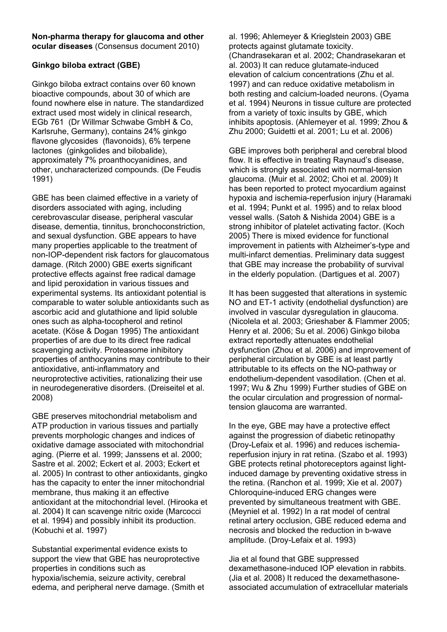#### **Non-pharma therapy for glaucoma and other ocular diseases** (Consensus document 2010)

# **Ginkgo biloba extract (GBE)**

Ginkgo biloba extract contains over 60 known bioactive compounds, about 30 of which are found nowhere else in nature. The standardized extract used most widely in clinical research, EGb 761 (Dr Willmar Schwabe GmbH & Co, Karlsruhe, Germany), contains 24% ginkgo flavone glycosides (flavonoids), 6% terpene lactones (ginkgolides and bilobalide), approximately 7% proanthocyanidines, and other, uncharacterized compounds. (De Feudis 1991)

GBE has been claimed effective in a variety of disorders associated with aging, including cerebrovascular disease, peripheral vascular disease, dementia, tinnitus, bronchoconstriction, and sexual dysfunction. GBE appears to have many properties applicable to the treatment of non-IOP-dependent risk factors for glaucomatous damage. (Ritch 2000) GBE exerts significant protective effects against free radical damage and lipid peroxidation in various tissues and experimental systems. Its antioxidant potential is comparable to water soluble antioxidants such as ascorbic acid and glutathione and lipid soluble ones such as alpha-tocopherol and retinol acetate. (Köse & Dogan 1995) The antioxidant properties of are due to its direct free radical scavenging activity. Proteasome inhibitory properties of anthocyanins may contribute to their antioxidative, anti-inflammatory and neuroprotective activities, rationalizing their use in neurodegenerative disorders. (Dreiseitel et al. 2008)

GBE preserves mitochondrial metabolism and ATP production in various tissues and partially prevents morphologic changes and indices of oxidative damage associated with mitochondrial aging. (Pierre et al. 1999; Janssens et al. 2000; Sastre et al. 2002; Eckert et al. 2003; Eckert et al. 2005) In contrast to other antioxidants, gingko has the capacity to enter the inner mitochondrial membrane, thus making it an effective antioxidant at the mitochondrial level. (Hirooka et al. 2004) It can scavenge nitric oxide (Marcocci et al. 1994) and possibly inhibit its production. (Kobuchi et al. 1997)

Substantial experimental evidence exists to support the view that GBE has neuroprotective properties in conditions such as hypoxia/ischemia, seizure activity, cerebral edema, and peripheral nerve damage. (Smith et

al. 1996; Ahlemeyer & Krieglstein 2003) GBE protects against glutamate toxicity. (Chandrasekaran et al. 2002; Chandrasekaran et al. 2003) It can reduce glutamate-induced elevation of calcium concentrations (Zhu et al. 1997) and can reduce oxidative metabolism in both resting and calcium-loaded neurons. (Oyama et al. 1994) Neurons in tissue culture are protected from a variety of toxic insults by GBE, which inhibits apoptosis. (Ahlemeyer et al. 1999; Zhou & Zhu 2000; Guidetti et al. 2001; Lu et al. 2006)

GBE improves both peripheral and cerebral blood flow. It is effective in treating Raynaud's disease, which is strongly associated with normal-tension glaucoma. (Muir et al. 2002; Choi et al. 2009) It has been reported to protect myocardium against hypoxia and ischemia-reperfusion injury (Haramaki et al. 1994; Punkt et al. 1995) and to relax blood vessel walls. (Satoh & Nishida 2004) GBE is a strong inhibitor of platelet activating factor. (Koch 2005) There is mixed evidence for functional improvement in patients with Alzheimer's-type and multi-infarct dementias. Preliminary data suggest that GBE may increase the probability of survival in the elderly population. (Dartigues et al. 2007)

It has been suggested that alterations in systemic NO and ET-1 activity (endothelial dysfunction) are involved in vascular dysregulation in glaucoma. (Nicolela et al. 2003; Grieshaber & Flammer 2005; Henry et al. 2006; Su et al. 2006) Ginkgo biloba extract reportedly attenuates endothelial dysfunction (Zhou et al. 2006) and improvement of peripheral circulation by GBE is at least partly attributable to its effects on the NO-pathway or endothelium-dependent vasodilation. (Chen et al. 1997; Wu & Zhu 1999) Further studies of GBE on the ocular circulation and progression of normaltension glaucoma are warranted.

In the eye, GBE may have a protective effect against the progression of diabetic retinopathy (Droy-Lefaix et al. 1996) and reduces ischemiareperfusion injury in rat retina. (Szabo et al. 1993) GBE protects retinal photoreceptors against lightinduced damage by preventing oxidative stress in the retina. (Ranchon et al. 1999; Xie et al. 2007) Chloroquine-induced ERG changes were prevented by simultaneous treatment with GBE. (Meyniel et al. 1992) In a rat model of central retinal artery occlusion, GBE reduced edema and necrosis and blocked the reduction in b-wave amplitude. (Droy-Lefaix et al. 1993)

Jia et al found that GBE suppressed dexamethasone-induced IOP elevation in rabbits. (Jia et al. 2008) It reduced the dexamethasoneassociated accumulation of extracellular materials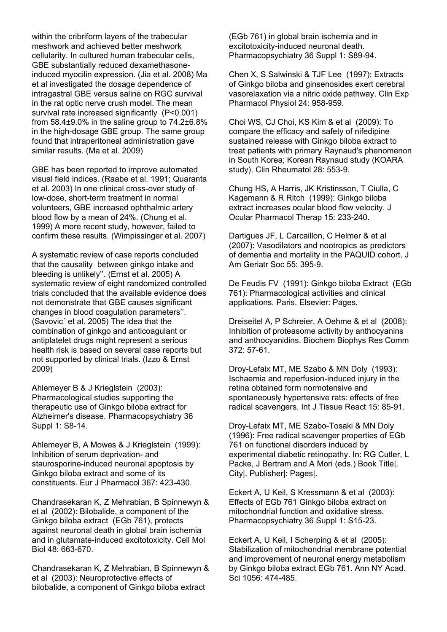within the cribriform layers of the trabecular meshwork and achieved better meshwork cellularity. In cultured human trabecular cells, GBE substantially reduced dexamethasoneinduced myocilin expression. (Jia et al. 2008) Ma et al investigated the dosage dependence of intragastral GBE versus saline on RGC survival in the rat optic nerve crush model. The mean survival rate increased significantly (P<0.001) from  $58.4\pm9.0\%$  in the saline group to  $74.2\pm6.8\%$ in the high-dosage GBE group. The same group found that intraperitoneal administration gave similar results. (Ma et al. 2009)

GBE has been reported to improve automated visual field indices. (Raabe et al. 1991; Quaranta et al. 2003) In one clinical cross-over study of low-dose, short-term treatment in normal volunteers, GBE increased ophthalmic artery blood flow by a mean of 24%. (Chung et al. 1999) A more recent study, however, failed to confirm these results. (Wimpissinger et al. 2007)

A systematic review of case reports concluded that the causality between ginkgo intake and bleeding is unlikely''. (Ernst et al. 2005) A systematic review of eight randomized controlled trials concluded that the available evidence does not demonstrate that GBE causes significant changes in blood coagulation parameters''. (Savovic´ et al. 2005) The idea that the combination of ginkgo and anticoagulant or antiplatelet drugs might represent a serious health risk is based on several case reports but not supported by clinical trials. (Izzo & Ernst 2009)

Ahlemeyer B & J Krieglstein (2003): Pharmacological studies supporting the therapeutic use of Ginkgo biloba extract for Alzheimer's disease. Pharmacopsychiatry 36 Suppl 1: S8-14.

Ahlemeyer B, A Mowes & J Krieglstein (1999): Inhibition of serum deprivation- and staurosporine-induced neuronal apoptosis by Ginkgo biloba extract and some of its constituents. Eur J Pharmacol 367: 423-430.

Chandrasekaran K, Z Mehrabian, B Spinnewyn & et al (2002): Bilobalide, a component of the Ginkgo biloba extract (EGb 761), protects against neuronal death in global brain ischemia and in glutamate-induced excitotoxicity. Cell Mol Biol 48: 663-670.

Chandrasekaran K, Z Mehrabian, B Spinnewyn & et al (2003): Neuroprotective effects of bilobalide, a component of Ginkgo biloba extract

(EGb 761) in global brain ischemia and in excitotoxicity-induced neuronal death. Pharmacopsychiatry 36 Suppl 1: S89-94.

Chen X, S Salwinski & TJF Lee (1997): Extracts of Ginkgo biloba and ginsenosides exert cerebral vasorelaxation via a nitric oxide pathway. Clin Exp Pharmacol Physiol 24: 958-959.

Choi WS, CJ Choi, KS Kim & et al (2009): To compare the efficacy and safety of nifedipine sustained release with Ginkgo biloba extract to treat patients with primary Raynaud's phenomenon in South Korea; Korean Raynaud study (KOARA study). Clin Rheumatol 28: 553-9.

Chung HS, A Harris, JK Kristinsson, T Ciulla, C Kagemann & R Ritch (1999): Ginkgo biloba extract increases ocular blood flow velocity. J Ocular Pharmacol Therap 15: 233-240.

Dartigues JF, L Carcaillon, C Helmer & et al (2007): Vasodilators and nootropics as predictors of dementia and mortality in the PAQUID cohort. J Am Geriatr Soc 55: 395-9.

De Feudis FV (1991): Ginkgo biloba Extract (EGb 761): Pharmacological activities and clinical applications. Paris. Elsevier: Pages.

Dreiseitel A, P Schreier, A Oehme & et al (2008): Inhibition of proteasome activity by anthocyanins and anthocyanidins. Biochem Biophys Res Comm 372: 57-61.

Droy-Lefaix MT, ME Szabo & MN Doly (1993): Ischaemia and reperfusion-induced injury in the retina obtained form normotensive and spontaneously hypertensive rats: effects of free radical scavengers. Int J Tissue React 15: 85-91.

Droy-Lefaix MT, ME Szabo-Tosaki & MN Doly (1996): Free radical scavenger properties of EGb 761 on functional disorders induced by experimental diabetic retinopathy. In: RG Cutler, L Packe, J Bertram and A Mori (eds.) Book Title|. City|. Publisher|: Pages|.

Eckert A, U Keil, S Kressmann & et al (2003): Effects of EGb 761 Ginkgo biloba extract on mitochondrial function and oxidative stress. Pharmacopsychiatry 36 Suppl 1: S15-23.

Eckert A, U Keil, I Scherping & et al (2005): Stabilization of mitochondrial membrane potential and improvement of neuronal energy metabolism by Ginkgo biloba extract EGb 761. Ann NY Acad. Sci 1056: 474-485.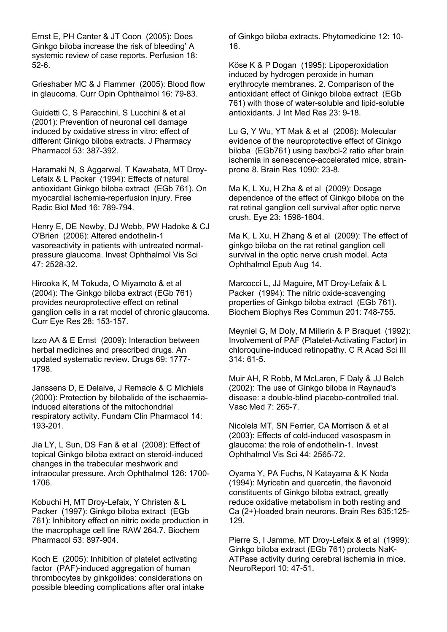Ernst E, PH Canter & JT Coon (2005): Does Ginkgo biloba increase the risk of bleeding' A systemic review of case reports. Perfusion 18: 52-6.

Grieshaber MC & J Flammer (2005): Blood flow in glaucoma. Curr Opin Ophthalmol 16: 79-83.

Guidetti C, S Paracchini, S Lucchini & et al (2001): Prevention of neuronal cell damage induced by oxidative stress in vitro: effect of different Ginkgo biloba extracts. J Pharmacy Pharmacol 53: 387-392.

Haramaki N, S Aggarwal, T Kawabata, MT Droy-Lefaix & L Packer (1994): Effects of natural antioxidant Ginkgo biloba extract (EGb 761). On myocardial ischemia-reperfusion injury. Free Radic Biol Med 16: 789-794.

Henry E, DE Newby, DJ Webb, PW Hadoke & CJ O'Brien (2006): Altered endothelin-1 vasoreactivity in patients with untreated normalpressure glaucoma. Invest Ophthalmol Vis Sci 47: 2528-32.

Hirooka K, M Tokuda, O Miyamoto & et al (2004): The Ginkgo biloba extract (EGb 761) provides neuroprotective effect on retinal ganglion cells in a rat model of chronic glaucoma. Curr Eye Res 28: 153-157.

Izzo AA & E Ernst (2009): Interaction between herbal medicines and prescribed drugs. An updated systematic review. Drugs 69: 1777- 1798.

Janssens D, E Delaive, J Remacle & C Michiels (2000): Protection by bilobalide of the ischaemiainduced alterations of the mitochondrial respiratory activity. Fundam Clin Pharmacol 14: 193-201.

Jia LY, L Sun, DS Fan & et al (2008): Effect of topical Ginkgo biloba extract on steroid-induced changes in the trabecular meshwork and intraocular pressure. Arch Ophthalmol 126: 1700- 1706.

Kobuchi H, MT Droy-Lefaix, Y Christen & L Packer (1997): Ginkgo biloba extract (EGb 761): Inhibitory effect on nitric oxide production in the macrophage cell line RAW 264.7. Biochem Pharmacol 53: 897-904.

Koch E (2005): Inhibition of platelet activating factor (PAF)-induced aggregation of human thrombocytes by ginkgolides: considerations on possible bleeding complications after oral intake of Ginkgo biloba extracts. Phytomedicine 12: 10- 16.

Köse K & P Dogan (1995): Lipoperoxidation induced by hydrogen peroxide in human erythrocyte membranes. 2. Comparison of the antioxidant effect of Ginkgo biloba extract (EGb 761) with those of water-soluble and lipid-soluble antioxidants. J Int Med Res 23: 9-18.

Lu G, Y Wu, YT Mak & et al (2006): Molecular evidence of the neuroprotective effect of Ginkgo biloba (EGb761) using bax/bcl-2 ratio after brain ischemia in senescence-accelerated mice, strainprone 8. Brain Res 1090: 23-8.

Ma K, L Xu, H Zha & et al (2009): Dosage dependence of the effect of Ginkgo biloba on the rat retinal ganglion cell survival after optic nerve crush. Eye 23: 1598-1604.

Ma K, L Xu, H Zhang & et al (2009): The effect of ginkgo biloba on the rat retinal ganglion cell survival in the optic nerve crush model. Acta Ophthalmol Epub Aug 14.

Marcocci L, JJ Maguire, MT Droy-Lefaix & L Packer (1994): The nitric oxide-scavenging properties of Ginkgo biloba extract (EGb 761). Biochem Biophys Res Commun 201: 748-755.

Meyniel G, M Doly, M Millerin & P Braquet (1992): Involvement of PAF (Platelet-Activating Factor) in chloroquine-induced retinopathy. C R Acad Sci III 314: 61-5.

Muir AH, R Robb, M McLaren, F Daly & JJ Belch (2002): The use of Ginkgo biloba in Raynaud's disease: a double-blind placebo-controlled trial. Vasc Med 7: 265-7.

Nicolela MT, SN Ferrier, CA Morrison & et al (2003): Effects of cold-induced vasospasm in glaucoma: the role of endothelin-1. Invest Ophthalmol Vis Sci 44: 2565-72.

Oyama Y, PA Fuchs, N Katayama & K Noda (1994): Myricetin and quercetin, the flavonoid constituents of Ginkgo biloba extract, greatly reduce oxidative metabolism in both resting and Ca (2+)-loaded brain neurons. Brain Res 635:125- 129.

Pierre S, I Jamme, MT Droy-Lefaix & et al (1999): Ginkgo biloba extract (EGb 761) protects NaK-ATPase activity during cerebral ischemia in mice. NeuroReport 10: 47-51.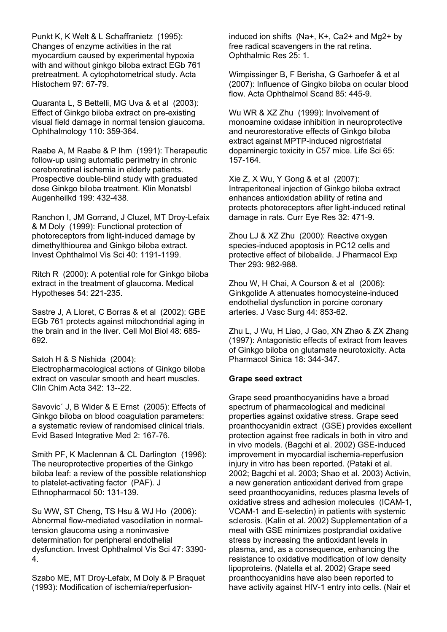Punkt K, K Welt & L Schaffranietz (1995): Changes of enzyme activities in the rat myocardium caused by experimental hypoxia with and without ginkgo biloba extract EGb 761 pretreatment. A cytophotometrical study. Acta Histochem 97: 67-79.

Quaranta L, S Bettelli, MG Uva & et al (2003): Effect of Ginkgo biloba extract on pre-existing visual field damage in normal tension glaucoma. Ophthalmology 110: 359-364.

Raabe A, M Raabe & P Ihm (1991): Therapeutic follow-up using automatic perimetry in chronic cerebroretinal ischemia in elderly patients. Prospective double-blind study with graduated dose Ginkgo biloba treatment. Klin Monatsbl Augenheilkd 199: 432-438.

Ranchon I, JM Gorrand, J Cluzel, MT Droy-Lefaix & M Doly (1999): Functional protection of photoreceptors from light-induced damage by dimethylthiourea and Ginkgo biloba extract. Invest Ophthalmol Vis Sci 40: 1191-1199.

Ritch R (2000): A potential role for Ginkgo biloba extract in the treatment of glaucoma. Medical Hypotheses 54: 221-235.

Sastre J, A Lloret, C Borras & et al (2002): GBE EGb 761 protects against mitochondrial aging in the brain and in the liver. Cell Mol Biol 48: 685- 692.

Satoh H & S Nishida (2004):

Electropharmacological actions of Ginkgo biloba extract on vascular smooth and heart muscles. Clin Chim Acta 342: 13--22.

Savovic´ J, B Wider & E Ernst (2005): Effects of Ginkgo biloba on blood coagulation parameters: a systematic review of randomised clinical trials. Evid Based Integrative Med 2: 167-76.

Smith PF, K Maclennan & CL Darlington (1996): The neuroprotective properties of the Ginkgo biloba leaf: a review of the possible relationshiop to platelet-activating factor (PAF). J Ethnopharmacol 50: 131-139.

Su WW, ST Cheng, TS Hsu & WJ Ho (2006): Abnormal flow-mediated vasodilation in normaltension glaucoma using a noninvasive determination for peripheral endothelial dysfunction. Invest Ophthalmol Vis Sci 47: 3390- 4.

Szabo ME, MT Droy-Lefaix, M Doly & P Braquet (1993): Modification of ischemia/reperfusioninduced ion shifts (Na+, K+, Ca2+ and Mg2+ by free radical scavengers in the rat retina. Ophthalmic Res 25: 1.

Wimpissinger B, F Berisha, G Garhoefer & et al (2007): Influence of Gingko biloba on ocular blood flow. Acta Ophthalmol Scand 85: 445-9.

Wu WR & XZ Zhu (1999): Involvement of monoamine oxidase inhibition in neuroprotective and neurorestorative effects of Ginkgo biloba extract against MPTP-induced nigrostriatal dopaminergic toxicity in C57 mice. Life Sci 65: 157-164.

Xie Z, X Wu, Y Gong & et al (2007): Intraperitoneal injection of Ginkgo biloba extract enhances antioxidation ability of retina and protects photoreceptors after light-induced retinal damage in rats. Curr Eye Res 32: 471-9.

Zhou LJ & XZ Zhu (2000): Reactive oxygen species-induced apoptosis in PC12 cells and protective effect of bilobalide. J Pharmacol Exp Ther 293: 982-988.

Zhou W, H Chai, A Courson & et al (2006): Ginkgolide A attenuates homocysteine-induced endothelial dysfunction in porcine coronary arteries. J Vasc Surg 44: 853-62.

Zhu L, J Wu, H Liao, J Gao, XN Zhao & ZX Zhang (1997): Antagonistic effects of extract from leaves of Ginkgo biloba on glutamate neurotoxicity. Acta Pharmacol Sinica 18: 344-347.

## **Grape seed extract**

Grape seed proanthocyanidins have a broad spectrum of pharmacological and medicinal properties against oxidative stress. Grape seed proanthocyanidin extract (GSE) provides excellent protection against free radicals in both in vitro and in vivo models. (Bagchi et al. 2002) GSE-induced improvement in myocardial ischemia-reperfusion injury in vitro has been reported. (Pataki et al. 2002; Bagchi et al. 2003; Shao et al. 2003) Activin, a new generation antioxidant derived from grape seed proanthocyanidins, reduces plasma levels of oxidative stress and adhesion molecules (ICAM-1, VCAM-1 and E-selectin) in patients with systemic sclerosis. (Kalin et al. 2002) Supplementation of a meal with GSE minimizes postprandial oxidative stress by increasing the antioxidant levels in plasma, and, as a consequence, enhancing the resistance to oxidative modification of low density lipoproteins. (Natella et al. 2002) Grape seed proanthocyanidins have also been reported to have activity against HIV-1 entry into cells. (Nair et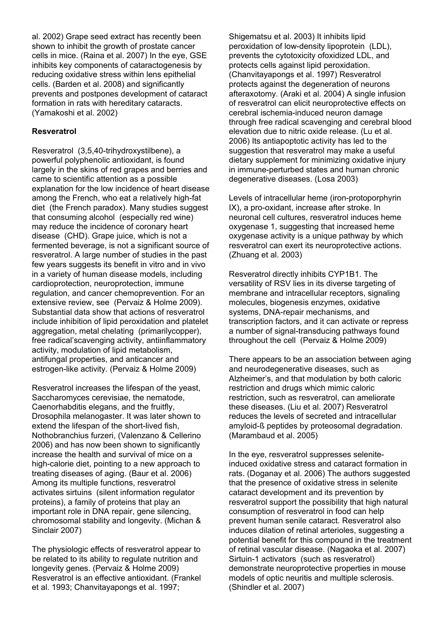al. 2002) Grape seed extract has recently been shown to inhibit the growth of prostate cancer cells in mice. (Raina et al. 2007) In the eye, GSE inhibits key components of cataractogenesis by reducing oxidative stress within lens epithelial cells. (Barden et al. 2008) and significantly prevents and postpones development of cataract formation in rats with hereditary cataracts. (Yamakoshi et al. 2002)

## **Resveratrol**

Resveratrol (3,5,40-trihydroxystilbene), a powerful polyphenolic antioxidant, is found largely in the skins of red grapes and berries and came to scientific attention as a possible explanation for the low incidence of heart disease among the French, who eat a relatively high-fat diet (the French paradox). Many studies suggest that consuming alcohol (especially red wine) may reduce the incidence of coronary heart disease (CHD). Grape juice, which is not a fermented beverage, is not a significant source of resveratrol. A large number of studies in the past few years suggests its benefit in vitro and in vivo in a variety of human disease models, including cardioprotection, neuroprotection, immune regulation, and cancer chemoprevention. For an extensive review, see (Pervaiz & Holme 2009). Substantial data show that actions of resveratrol include inhibition of lipid peroxidation and platelet aggregation, metal chelating (primarilycopper), free radical'scavenging activity, antiinflammatory activity, modulation of lipid metabolism, antifungal properties, and anticancer and estrogen-like activity. (Pervaiz & Holme 2009)

Resveratrol increases the lifespan of the yeast, Saccharomyces cerevisiae, the nematode, Caenorhabditis elegans, and the fruitfly, Drosophila melanogaster. It was later shown to extend the lifespan of the short-lived fish, Nothobranchius furzeri, (Valenzano & Cellerino 2006) and has now been shown to significantly increase the health and survival of mice on a high-calorie diet, pointing to a new approach to treating diseases of aging. (Baur et al. 2006) Among its multiple functions, resveratrol activates sirtuins (silent information regulator proteins), a family of proteins that play an important role in DNA repair, gene silencing, chromosomal stability and longevity. (Michan & Sinclair 2007)

The physiologic effects of resveratrol appear to be related to its ability to regulate nutrition and longevity genes. (Pervaiz & Holme 2009) Resveratrol is an effective antioxidant. (Frankel et al. 1993; Chanvitayapongs et al. 1997;

Shigematsu et al. 2003) It inhibits lipid peroxidation of low-density lipoprotein (LDL), prevents the cytotoxicity ofoxidized LDL, and protects cells against lipid peroxidation. (Chanvitayapongs et al. 1997) Resveratrol protects against the degeneration of neurons afteraxotomy. (Araki et al. 2004) A single infusion of resveratrol can elicit neuroprotective effects on cerebral ischemia-induced neuron damage through free radical scavenging and cerebral blood elevation due to nitric oxide release. (Lu et al. 2006) Its antiapoptotic activity has led to the suggestion that resveratrol may make a useful dietary supplement for minimizing oxidative injury in immune-perturbed states and human chronic degenerative diseases. (Losa 2003)

Levels of intracellular heme (iron-protoporphyrin IX), a pro-oxidant, increase after stroke. In neuronal cell cultures, resveratrol induces heme oxygenase 1, suggesting that increased heme oxygenase activity is a unique pathway by which resveratrol can exert its neuroprotective actions. (Zhuang et al. 2003)

Resveratrol directly inhibits CYP1B1. The versatility of RSV lies in its diverse targeting of membrane and intracellular receptors, signaling molecules, biogenesis enzymes, oxidative systems, DNA-repair mechanisms, and transcription factors, and it can activate or repress a number of signal-transducing pathways found throughout the cell (Pervaiz & Holme 2009)

There appears to be an association between aging and neurodegenerative diseases, such as Alzheimer's, and that modulation by both caloric restriction and drugs which mimic caloric restriction, such as resveratrol, can ameliorate these diseases. (Liu et al. 2007) Resveratrol reduces the levels of secreted and intracellular amyloid-ß peptides by proteosomal degradation. (Marambaud et al. 2005)

In the eye, resveratrol suppresses seleniteinduced oxidative stress and cataract formation in rats. (Doganay et al. 2006) The authors suggested that the presence of oxidative stress in selenite cataract development and its prevention by resveratrol support the possibility that high natural consumption of resveratrol in food can help prevent human senile cataract. Resveratrol also induces dilation of retinal arterioles, suggesting a potential benefit for this compound in the treatment of retinal vascular disease. (Nagaoka et al. 2007) Sirtuin-1 activators (such as resveratrol) demonstrate neuroprotective properties in mouse models of optic neuritis and multiple sclerosis. (Shindler et al. 2007)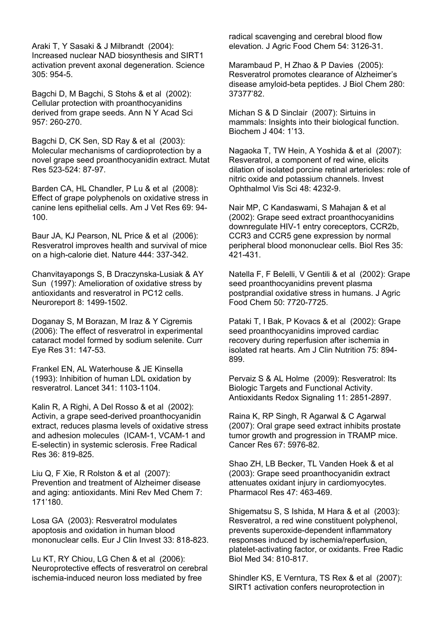Araki T, Y Sasaki & J Milbrandt (2004): Increased nuclear NAD biosynthesis and SIRT1 activation prevent axonal degeneration. Science 305: 954-5.

Bagchi D, M Bagchi, S Stohs & et al (2002): Cellular protection with proanthocyanidins derived from grape seeds. Ann N Y Acad Sci 957: 260-270.

Bagchi D, CK Sen, SD Ray & et al (2003): Molecular mechanisms of cardioprotection by a novel grape seed proanthocyanidin extract. Mutat Res 523-524: 87-97.

Barden CA, HL Chandler, P Lu & et al (2008): Effect of grape polyphenols on oxidative stress in canine lens epithelial cells. Am J Vet Res 69: 94- 100.

Baur JA, KJ Pearson, NL Price & et al (2006): Resveratrol improves health and survival of mice on a high-calorie diet. Nature 444: 337-342.

Chanvitayapongs S, B Draczynska-Lusiak & AY Sun (1997): Amelioration of oxidative stress by antioxidants and resveratrol in PC12 cells. Neuroreport 8: 1499-1502.

Doganay S, M Borazan, M Iraz & Y Cigremis (2006): The effect of resveratrol in experimental cataract model formed by sodium selenite. Curr Eye Res 31: 147-53.

Frankel EN, AL Waterhouse & JE Kinsella (1993): Inhibition of human LDL oxidation by resveratrol. Lancet 341: 1103-1104.

Kalin R, A Righi, A Del Rosso & et al (2002): Activin, a grape seed-derived proanthocyanidin extract, reduces plasma levels of oxidative stress and adhesion molecules (ICAM-1, VCAM-1 and E-selectin) in systemic sclerosis. Free Radical Res 36: 819-825.

Liu Q, F Xie, R Rolston & et al (2007): Prevention and treatment of Alzheimer disease and aging: antioxidants. Mini Rev Med Chem 7: 171'180.

Losa GA (2003): Resveratrol modulates apoptosis and oxidation in human blood mononuclear cells. Eur J Clin Invest 33: 818-823.

Lu KT, RY Chiou, LG Chen & et al (2006): Neuroprotective effects of resveratrol on cerebral ischemia-induced neuron loss mediated by free

radical scavenging and cerebral blood flow elevation. J Agric Food Chem 54: 3126-31.

Marambaud P, H Zhao & P Davies (2005): Resveratrol promotes clearance of Alzheimer's disease amyloid-beta peptides. J Biol Chem 280: 37377'82.

Michan S & D Sinclair (2007): Sirtuins in mammals: Insights into their biological function. Biochem J 404: 1'13.

Nagaoka T, TW Hein, A Yoshida & et al (2007): Resveratrol, a component of red wine, elicits dilation of isolated porcine retinal arterioles: role of nitric oxide and potassium channels. Invest Ophthalmol Vis Sci 48: 4232-9.

Nair MP, C Kandaswami, S Mahajan & et al (2002): Grape seed extract proanthocyanidins downregulate HIV-1 entry coreceptors, CCR2b, CCR3 and CCR5 gene expression by normal peripheral blood mononuclear cells. Biol Res 35: 421-431.

Natella F, F Belelli, V Gentili & et al (2002): Grape seed proanthocyanidins prevent plasma postprandial oxidative stress in humans. J Agric Food Chem 50: 7720-7725.

Pataki T, I Bak, P Kovacs & et al (2002): Grape seed proanthocyanidins improved cardiac recovery during reperfusion after ischemia in isolated rat hearts. Am J Clin Nutrition 75: 894- 899.

Pervaiz S & AL Holme (2009): Resveratrol: Its Biologic Targets and Functional Activity. Antioxidants Redox Signaling 11: 2851-2897.

Raina K, RP Singh, R Agarwal & C Agarwal (2007): Oral grape seed extract inhibits prostate tumor growth and progression in TRAMP mice. Cancer Res 67: 5976-82.

Shao ZH, LB Becker, TL Vanden Hoek & et al (2003): Grape seed proanthocyanidin extract attenuates oxidant injury in cardiomyocytes. Pharmacol Res 47: 463-469.

Shigematsu S, S Ishida, M Hara & et al (2003): Resveratrol, a red wine constituent polyphenol, prevents superoxide-dependent inflammatory responses induced by ischemia/reperfusion, platelet-activating factor, or oxidants. Free Radic Biol Med 34: 810-817.

Shindler KS, E Verntura, TS Rex & et al (2007): SIRT1 activation confers neuroprotection in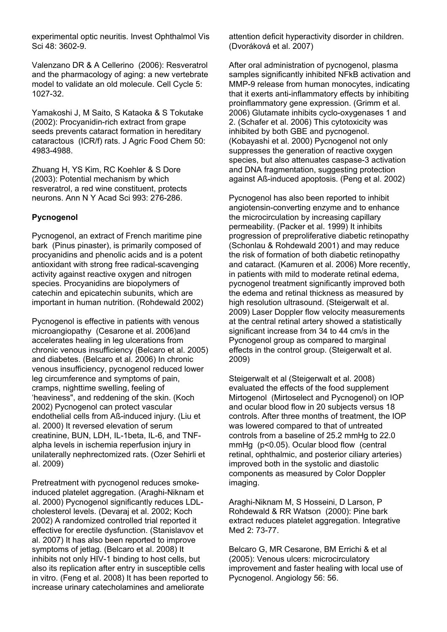experimental optic neuritis. Invest Ophthalmol Vis Sci 48: 3602-9.

Valenzano DR & A Cellerino (2006): Resveratrol and the pharmacology of aging: a new vertebrate model to validate an old molecule. Cell Cycle 5: 1027-32.

Yamakoshi J, M Saito, S Kataoka & S Tokutake (2002): Procyanidin-rich extract from grape seeds prevents cataract formation in hereditary cataractous (ICR/f) rats. J Agric Food Chem 50: 4983-4988.

Zhuang H, YS Kim, RC Koehler & S Dore (2003): Potential mechanism by which resveratrol, a red wine constituent, protects neurons. Ann N Y Acad Sci 993: 276-286.

#### **Pycnogenol**

Pycnogenol, an extract of French maritime pine bark (Pinus pinaster), is primarily composed of procyanidins and phenolic acids and is a potent antioxidant with strong free radical-scavenging activity against reactive oxygen and nitrogen species. Procyanidins are biopolymers of catechin and epicatechin subunits, which are important in human nutrition. (Rohdewald 2002)

Pycnogenol is effective in patients with venous microangiopathy (Cesarone et al. 2006)and accelerates healing in leg ulcerations from chronic venous insufficiency (Belcaro et al. 2005) and diabetes. (Belcaro et al. 2006) In chronic venous insufficiency, pycnogenol reduced lower leg circumference and symptoms of pain, cramps, nighttime swelling, feeling of 'heaviness", and reddening of the skin. (Koch 2002) Pycnogenol can protect vascular endothelial cells from Aß-induced injury. (Liu et al. 2000) It reversed elevation of serum creatinine, BUN, LDH, IL-1beta, IL-6, and TNFalpha levels in ischemia reperfusion injury in unilaterally nephrectomized rats. (Ozer Sehirli et al. 2009)

Pretreatment with pycnogenol reduces smokeinduced platelet aggregation. (Araghi-Niknam et al. 2000) Pycnogenol significantly reduces LDLcholesterol levels. (Devaraj et al. 2002; Koch 2002) A randomized controlled trial reported it effective for erectile dysfunction. (Stanislavov et al. 2007) It has also been reported to improve symptoms of jetlag. (Belcaro et al. 2008) It inhibits not only HIV-1 binding to host cells, but also its replication after entry in susceptible cells in vitro. (Feng et al. 2008) It has been reported to increase urinary catecholamines and ameliorate

attention deficit hyperactivity disorder in children. (Dvoráková et al. 2007)

After oral administration of pycnogenol, plasma samples significantly inhibited NFkB activation and MMP-9 release from human monocytes, indicating that it exerts anti-inflammatory effects by inhibiting proinflammatory gene expression. (Grimm et al. 2006) Glutamate inhibits cyclo-oxygenases 1 and 2. (Schafer et al. 2006) This cytotoxicity was inhibited by both GBE and pycnogenol. (Kobayashi et al. 2000) Pycnogenol not only suppresses the generation of reactive oxygen species, but also attenuates caspase-3 activation and DNA fragmentation, suggesting protection against Aß-induced apoptosis. (Peng et al. 2002)

Pycnogenol has also been reported to inhibit angiotensin-converting enzyme and to enhance the microcirculation by increasing capillary permeability. (Packer et al. 1999) It inhibits progression of preproliferative diabetic retinopathy (Schonlau & Rohdewald 2001) and may reduce the risk of formation of both diabetic retinopathy and cataract. (Kamuren et al. 2006) More recently, in patients with mild to moderate retinal edema, pycnogenol treatment significantly improved both the edema and retinal thickness as measured by high resolution ultrasound. (Steigerwalt et al. 2009) Laser Doppler flow velocity measurements at the central retinal artery showed a statistically significant increase from 34 to 44 cm/s in the Pycnogenol group as compared to marginal effects in the control group. (Steigerwalt et al. 2009)

Steigerwalt et al (Steigerwalt et al. 2008) evaluated the effects of the food supplement Mirtogenol (Mirtoselect and Pycnogenol) on IOP and ocular blood flow in 20 subjects versus 18 controls. After three months of treatment, the IOP was lowered compared to that of untreated controls from a baseline of 25.2 mmHg to 22.0 mmHg (p<0.05). Ocular blood flow (central retinal, ophthalmic, and posterior ciliary arteries) improved both in the systolic and diastolic components as measured by Color Doppler imaging.

Araghi-Niknam M, S Hosseini, D Larson, P Rohdewald & RR Watson (2000): Pine bark extract reduces platelet aggregation. Integrative Med 2: 73-77.

Belcaro G, MR Cesarone, BM Errichi & et al (2005): Venous ulcers: microcirculatory improvement and faster healing with local use of Pycnogenol. Angiology 56: 56.